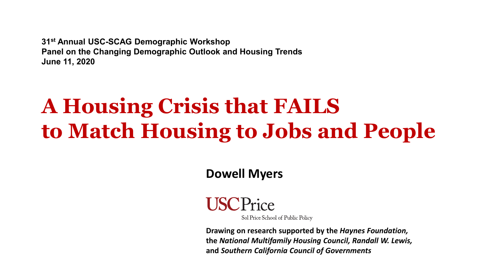**31st Annual USC-SCAG Demographic Workshop Panel on the Changing Demographic Outlook and Housing Trends June 11, 2020**

## **A Housing Crisis that FAILS to Match Housing to Jobs and People**

**Dowell Myers**



Sol Price School of Public Policy

**Drawing on research supported by the** *Haynes Foundation,* **the** *National Multifamily Housing Council, Randall W. Lewis,*  **and** *Southern California Council of Governments*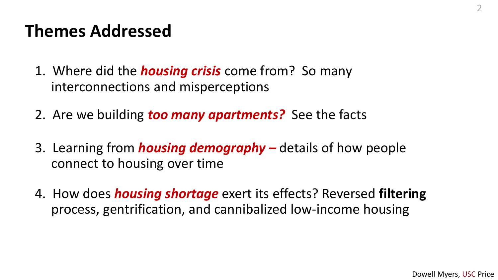## **Themes Addressed**

- 1. Where did the *housing crisis* come from? So many interconnections and misperceptions
- 2. Are we building *too many apartments?* See the facts
- 3. Learning from *housing demography –* details of how people connect to housing over time
- 4. How does *housing shortage* exert its effects? Reversed **filtering** process, gentrification, and cannibalized low-income housing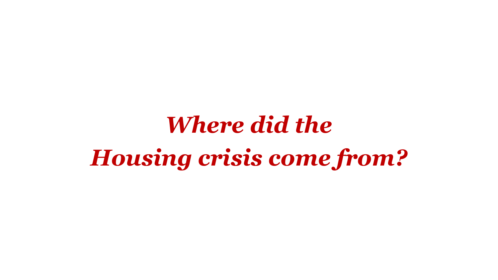# *Where did the Housing crisis come from?*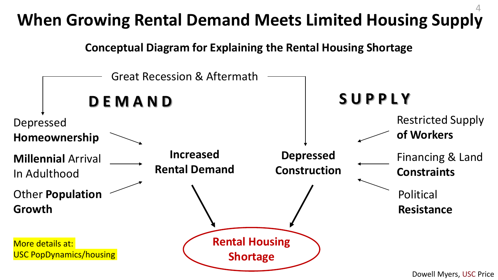#### **When Growing Rental Demand Meets Limited Housing Supply** 4

**Conceptual Diagram for Explaining the Rental Housing Shortage**

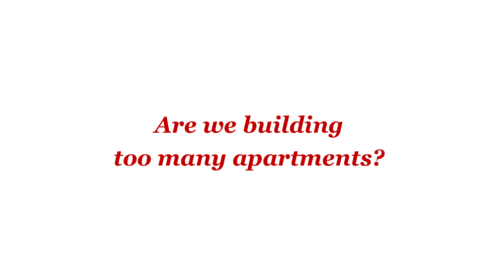*Are we building too many apartments?*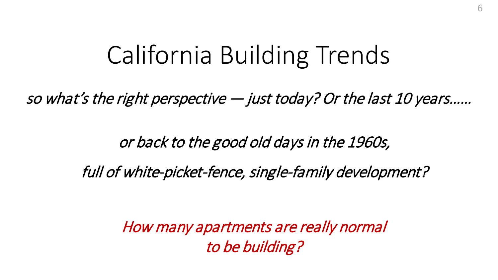## California Building Trends

so what's the right perspective — just today? Or the last 10 years……

or back to the good old days in the 1960s,

full of white-picket-fence, single-family development?

How many apartments are really normal to be building?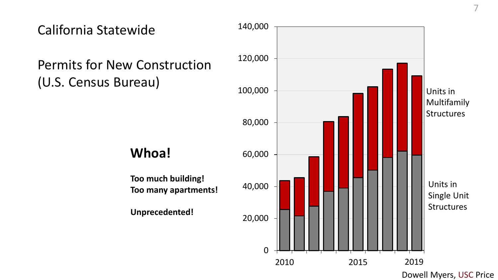

Dowell Myers, USC Price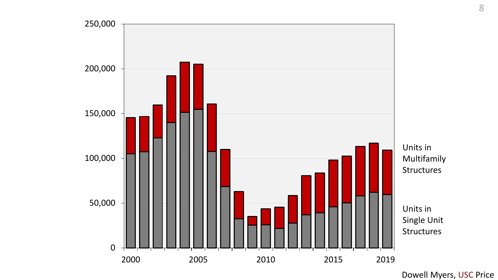



Units in Single Unit Structures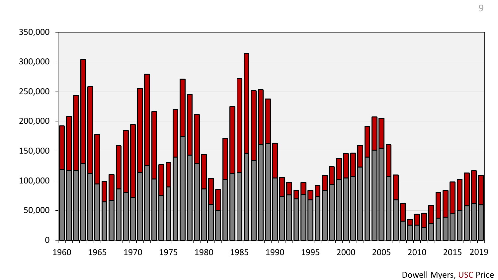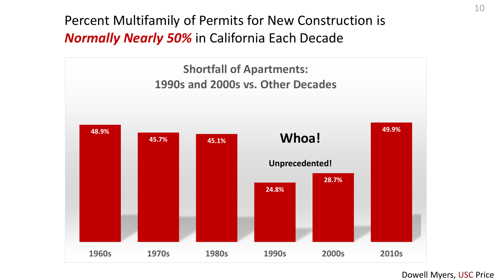Percent Multifamily of Permits for New Construction is *Normally Nearly 50%* in California Each Decade

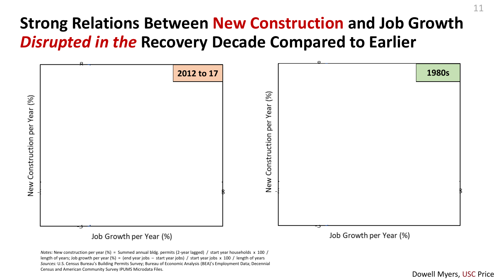#### **Strong Relations Between New Construction and Job Growth**  *Disrupted in the* **Recovery Decade Compared to Earlier**



length of years; Job growth per year (%) = (end year jobs – start year jobs) / start year jobs x 100 / length of years *Sources:* U.S. Census Bureau's Building Permits Survey; Bureau of Economic Analysis (BEA)'s Employment Data; Decennial Census and American Community Survey IPUMS Microdata Files.

11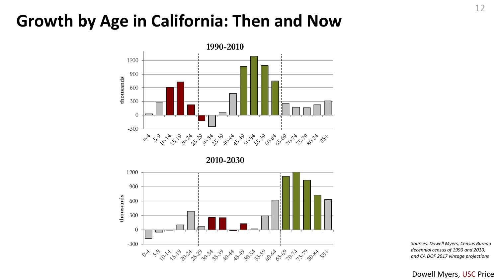#### **Growth by Age in California: Then and Now**



2010-2030



*Sources: Dowell Myers, Census Bureau decennial census of 1990 and 2010, and CA DOF 2017 vintage projections*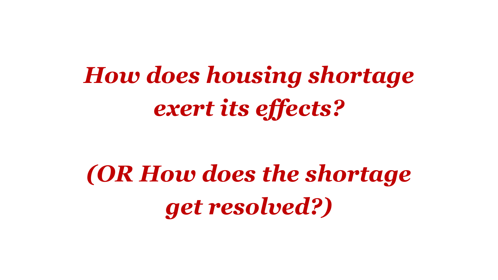# *How does housing shortage exert its effects?*

# *(OR How does the shortage get resolved?)*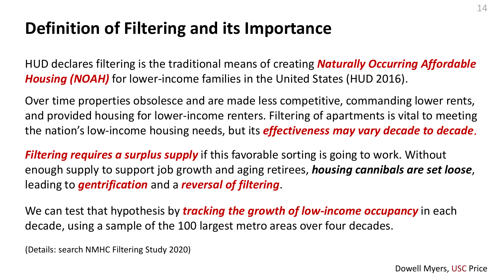## **Definition of Filtering and its Importance**

HUD declares filtering is the traditional means of creating *Naturally Occurring Affordable Housing (NOAH)* for lower-income families in the United States (HUD 2016).

Over time properties obsolesce and are made less competitive, commanding lower rents, and provided housing for lower-income renters. Filtering of apartments is vital to meeting the nation's low-income housing needs, but its *effectiveness may vary decade to decade*.

*Filtering requires a surplus supply* if this favorable sorting is going to work. Without enough supply to support job growth and aging retirees, *housing cannibals are set loose*, leading to *gentrification* and a *reversal of filtering*.

We can test that hypothesis by *tracking the growth of low-income occupancy* in each decade, using a sample of the 100 largest metro areas over four decades.

(Details: search NMHC Filtering Study 2020)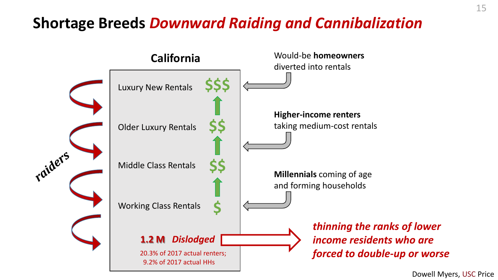#### **Shortage Breeds** *Downward Raiding and Cannibalization*

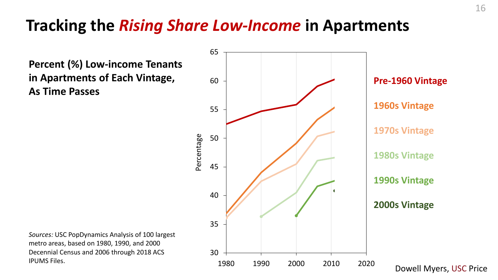#### **Tracking the** *Rising Share Low-Income* **in Apartments**

**Percent (%) Low-income Tenants in Apartments of Each Vintage, As Time Passes**



*Sources:* USC PopDynamics Analysis of 100 largest metro areas, based on 1980, 1990, and 2000 Decennial Census and 2006 through 2018 ACS IPUMS Files.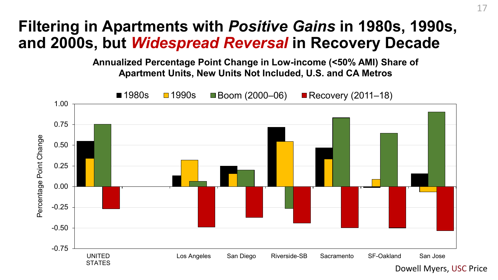#### **Filtering in Apartments with** *Positive Gains* **in 1980s, 1990s, and 2000s, but** *Widespread Reversal* **in Recovery Decade**

**Annualized Percentage Point Change in Low-income (<50% AMI) Share of Apartment Units, New Units Not Included, U.S. and CA Metros**

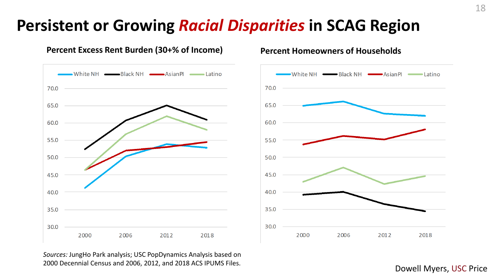#### **Persistent or Growing** *Racial Disparities* **in SCAG Region**



#### **Percent Excess Rent Burden (30+% of Income) Percent Homeowners of Households**

*Sources:* JungHo Park analysis; USC PopDynamics Analysis based on 2000 Decennial Census and 2006, 2012, and 2018 ACS IPUMS Files. Dowell Myers, USC Price



18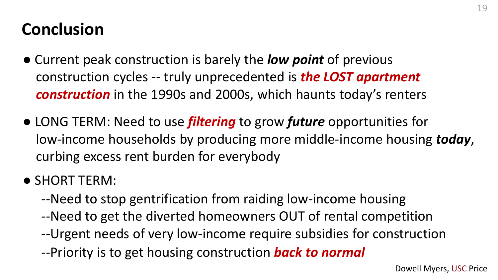## **Conclusion**

- Current peak construction is barely the *low point* of previous construction cycles -- truly unprecedented is *the LOST apartment construction* in the 1990s and 2000s, which haunts today's renters
- LONG TERM: Need to use *filtering* to grow *future* opportunities for low-income households by producing more middle-income housing *today*, curbing excess rent burden for everybody
- SHORT TERM:
	- --Need to stop gentrification from raiding low-income housing
	- --Need to get the diverted homeowners OUT of rental competition
	- --Urgent needs of very low-income require subsidies for construction
	- --Priority is to get housing construction *back to normal*